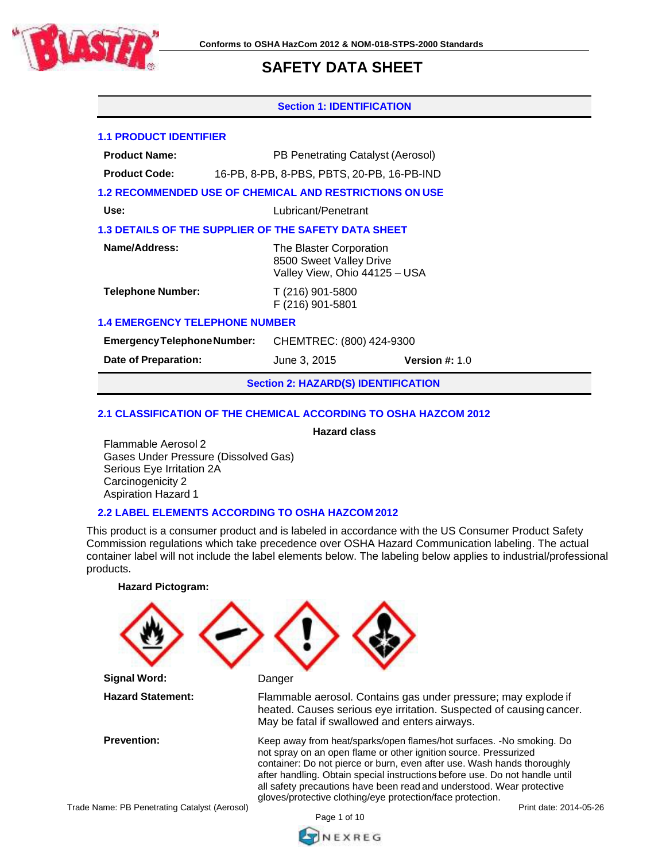

## **Section 1: IDENTIFICATION**

## **1.1 PRODUCT IDENTIFIER**

**Product Name:** PB Penetrating Catalyst (Aerosol)

**Product Code:** 16-PB, 8-PB, 8-PBS, PBTS, 20-PB, 16-PB-IND

# **1.2 RECOMMENDED USE OF CHEMICAL AND RESTRICTIONS ON USE**

**Use:** Lubricant/Penetrant

# **1.3 DETAILS OF THE SUPPLIER OF THE SAFETY DATA SHEET**

| Name/Address:            | The Blaster Corporation<br>8500 Sweet Valley Drive<br>Valley View, Ohio 44125 - USA |
|--------------------------|-------------------------------------------------------------------------------------|
| <b>Telephone Number:</b> | T (216) 901-5800<br>F (216) 901-5801                                                |

# **1.4 EMERGENCY TELEPHONE NUMBER**

**EmergencyTelephoneNumber:** CHEMTREC: (800) 424-9300

**Date of Preparation:** June 3, 2015 **Version #:** 1.0

**Section 2: HAZARD(S) IDENTIFICATION**

# **2.1 CLASSIFICATION OF THE CHEMICAL ACCORDING TO OSHA HAZCOM 2012**

**Hazard class**

Flammable Aerosol 2 Gases Under Pressure (Dissolved Gas) Serious Eye Irritation 2A Carcinogenicity 2 Aspiration Hazard 1

# **2.2 LABEL ELEMENTS ACCORDING TO OSHA HAZCOM 2012**

This product is a consumer product and is labeled in accordance with the US Consumer Product Safety Commission regulations which take precedence over OSHA Hazard Communication labeling. The actual container label will not include the label elements below. The labeling below applies to industrial/professional products.

Trade Name: PB Penetrating Catalyst (Aerosol) **Hazard Pictogram: Signal Word:** Danger **Hazard Statement:** Flammable aerosol. Contains gas under pressure; may explode if heated. Causes serious eye irritation. Suspected of causing cancer. May be fatal if swallowed and enters airways. **Prevention:** Keep away from heat/sparks/open flames/hot surfaces. -No smoking. Do not spray on an open flame or other ignition source. Pressurized container: Do not pierce or burn, even after use. Wash hands thoroughly after handling. Obtain special instructions before use. Do not handle until all safety precautions have been read and understood. Wear protective gloves/protective clothing/eye protection/face protection.

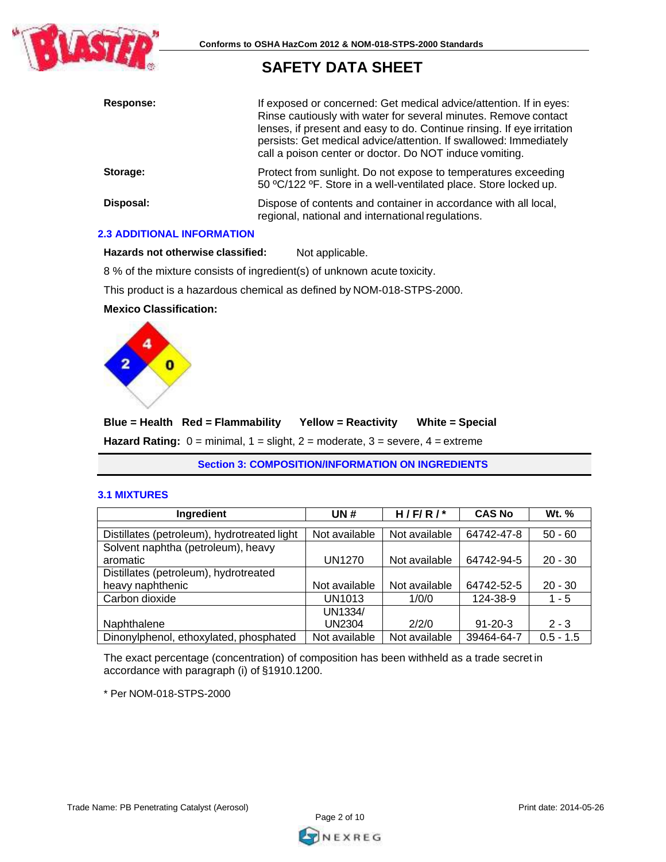

| Response: | If exposed or concerned: Get medical advice/attention. If in eyes:<br>Rinse cautiously with water for several minutes. Remove contact<br>lenses, if present and easy to do. Continue rinsing. If eye irritation<br>persists: Get medical advice/attention. If swallowed: Immediately<br>call a poison center or doctor. Do NOT induce vomiting. |
|-----------|-------------------------------------------------------------------------------------------------------------------------------------------------------------------------------------------------------------------------------------------------------------------------------------------------------------------------------------------------|
| Storage:  | Protect from sunlight. Do not expose to temperatures exceeding<br>50 °C/122 °F. Store in a well-ventilated place. Store locked up.                                                                                                                                                                                                              |
| Disposal: | Dispose of contents and container in accordance with all local,<br>regional, national and international regulations.                                                                                                                                                                                                                            |

# **2.3 ADDITIONAL INFORMATION**

**Hazards not otherwise classified:** Not applicable.

8 % of the mixture consists of ingredient(s) of unknown acute toxicity.

This product is a hazardous chemical as defined by NOM-018-STPS-2000.

# **Mexico Classification:**



**Blue = Health Red = Flammability Yellow = Reactivity White = Special Hazard Rating:** 0 = minimal, 1 = slight, 2 = moderate, 3 = severe, 4 = extreme

**Section 3: COMPOSITION/INFORMATION ON INGREDIENTS**

#### **3.1 MIXTURES**

| Ingredient                                  | UN#           | $H/F/R/*$     | <b>CAS No</b> | Wt. %       |
|---------------------------------------------|---------------|---------------|---------------|-------------|
|                                             |               |               |               |             |
| Distillates (petroleum), hydrotreated light | Not available | Not available | 64742-47-8    | $50 - 60$   |
| Solvent naphtha (petroleum), heavy          |               |               |               |             |
| aromatic                                    | <b>UN1270</b> | Not available | 64742-94-5    | $20 - 30$   |
| Distillates (petroleum), hydrotreated       |               |               |               |             |
| heavy naphthenic                            | Not available | Not available | 64742-52-5    | $20 - 30$   |
| Carbon dioxide                              | UN1013        | 1/0/0         | 124-38-9      | 1 - 5       |
|                                             | UN1334/       |               |               |             |
| Naphthalene                                 | <b>UN2304</b> | 2/2/0         | $91 - 20 - 3$ | $2 - 3$     |
| Dinonylphenol, ethoxylated, phosphated      | Not available | Not available | 39464-64-7    | $0.5 - 1.5$ |

The exact percentage (concentration) of composition has been withheld as a trade secret in accordance with paragraph (i) of §1910.1200.

\* Per NOM-018-STPS-2000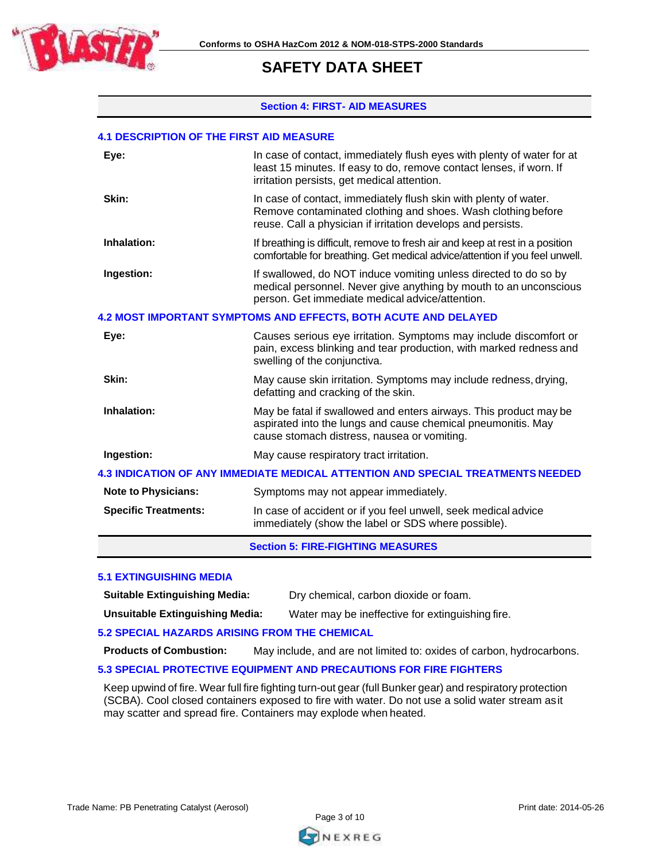

#### **Section 4: FIRST- AID MEASURES**

#### **4.1 DESCRIPTION OF THE FIRST AID MEASURE**

| <b>Note to Physicians:</b><br><b>Specific Treatments:</b>                       | Symptoms may not appear immediately.<br>In case of accident or if you feel unwell, seek medical advice<br>immediately (show the label or SDS where possible).                                    |  |
|---------------------------------------------------------------------------------|--------------------------------------------------------------------------------------------------------------------------------------------------------------------------------------------------|--|
| 4.3 INDICATION OF ANY IMMEDIATE MEDICAL ATTENTION AND SPECIAL TREATMENTS NEEDED |                                                                                                                                                                                                  |  |
| Ingestion:                                                                      | May cause respiratory tract irritation.                                                                                                                                                          |  |
| Inhalation:                                                                     | May be fatal if swallowed and enters airways. This product may be<br>aspirated into the lungs and cause chemical pneumonitis. May<br>cause stomach distress, nausea or vomiting.                 |  |
| Skin:                                                                           | May cause skin irritation. Symptoms may include redness, drying,<br>defatting and cracking of the skin.                                                                                          |  |
| Eye:                                                                            | Causes serious eye irritation. Symptoms may include discomfort or<br>pain, excess blinking and tear production, with marked redness and<br>swelling of the conjunctiva.                          |  |
|                                                                                 | 4.2 MOST IMPORTANT SYMPTOMS AND EFFECTS, BOTH ACUTE AND DELAYED                                                                                                                                  |  |
| Ingestion:                                                                      | If swallowed, do NOT induce vomiting unless directed to do so by<br>medical personnel. Never give anything by mouth to an unconscious<br>person. Get immediate medical advice/attention.         |  |
| Inhalation:                                                                     | If breathing is difficult, remove to fresh air and keep at rest in a position<br>comfortable for breathing. Get medical advice/attention if you feel unwell.                                     |  |
| Skin:                                                                           | In case of contact, immediately flush skin with plenty of water.<br>Remove contaminated clothing and shoes. Wash clothing before<br>reuse. Call a physician if irritation develops and persists. |  |
| Eye:                                                                            | In case of contact, immediately flush eyes with plenty of water for at<br>least 15 minutes. If easy to do, remove contact lenses, if worn. If<br>irritation persists, get medical attention.     |  |
|                                                                                 |                                                                                                                                                                                                  |  |

**Section 5: FIRE-FIGHTING MEASURES**

#### **5.1 EXTINGUISHING MEDIA**

**Suitable Extinguishing Media:** Dry chemical, carbon dioxide or foam.

**Unsuitable Extinguishing Media:** Water may be ineffective for extinguishing fire.

# **5.2 SPECIAL HAZARDS ARISING FROM THE CHEMICAL**

**Products of Combustion:** May include, and are not limited to: oxides of carbon, hydrocarbons.

# **5.3 SPECIAL PROTECTIVE EQUIPMENT AND PRECAUTIONS FOR FIRE FIGHTERS**

Keep upwind of fire. Wear full fire fighting turn-out gear (full Bunker gear) and respiratory protection (SCBA). Cool closed containers exposed to fire with water. Do not use a solid water stream asit may scatter and spread fire. Containers may explode when heated.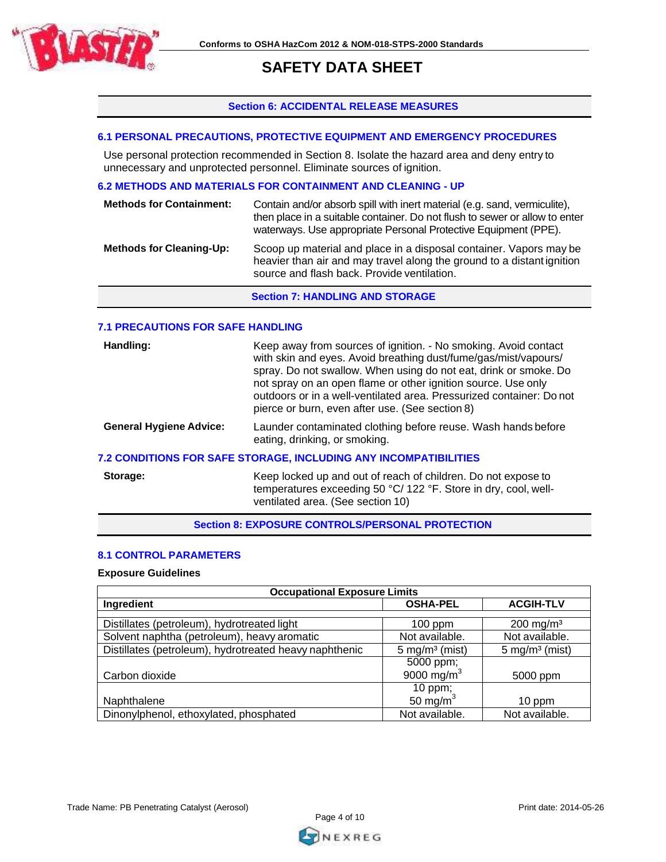

# **Section 6: ACCIDENTAL RELEASE MEASURES**

# **6.1 PERSONAL PRECAUTIONS, PROTECTIVE EQUIPMENT AND EMERGENCY PROCEDURES**

Use personal protection recommended in Section 8. Isolate the hazard area and deny entry to unnecessary and unprotected personnel. Eliminate sources of ignition.

# **6.2 METHODS AND MATERIALS FOR CONTAINMENT AND CLEANING - UP**

| <b>Methods for Containment:</b> | Contain and/or absorb spill with inert material (e.g. sand, vermiculite),<br>then place in a suitable container. Do not flush to sewer or allow to enter<br>waterways. Use appropriate Personal Protective Equipment (PPE). |
|---------------------------------|-----------------------------------------------------------------------------------------------------------------------------------------------------------------------------------------------------------------------------|
| <b>Methods for Cleaning-Up:</b> | Scoop up material and place in a disposal container. Vapors may be<br>heavier than air and may travel along the ground to a distant ignition<br>source and flash back. Provide ventilation.                                 |

**Section 7: HANDLING AND STORAGE**

## **7.1 PRECAUTIONS FOR SAFE HANDLING**

| Handling:                      | Keep away from sources of ignition. - No smoking. Avoid contact<br>with skin and eyes. Avoid breathing dust/fume/gas/mist/vapours/<br>spray. Do not swallow. When using do not eat, drink or smoke. Do<br>not spray on an open flame or other ignition source. Use only<br>outdoors or in a well-ventilated area. Pressurized container: Do not<br>pierce or burn, even after use. (See section 8) |
|--------------------------------|----------------------------------------------------------------------------------------------------------------------------------------------------------------------------------------------------------------------------------------------------------------------------------------------------------------------------------------------------------------------------------------------------|
| <b>General Hygiene Advice:</b> | Launder contaminated clothing before reuse. Wash hands before<br>eating, drinking, or smoking.                                                                                                                                                                                                                                                                                                     |
|                                | <b>7.2 CONDITIONS FOR SAFE STORAGE, INCLUDING ANY INCOMPATIBILITIES</b>                                                                                                                                                                                                                                                                                                                            |
| Storage:                       | Keep locked up and out of reach of children. Do not expose to                                                                                                                                                                                                                                                                                                                                      |

temperatures exceeding 50 °C/ 122 °F. Store in dry, cool, wellventilated area. (See section 10)

**Section 8: EXPOSURE CONTROLS/PERSONAL PROTECTION**

# **8.1 CONTROL PARAMETERS**

## **Exposure Guidelines**

| <b>Occupational Exposure Limits</b>                    |                              |                              |  |
|--------------------------------------------------------|------------------------------|------------------------------|--|
| Ingredient                                             | <b>OSHA-PEL</b>              | <b>ACGIH-TLV</b>             |  |
|                                                        |                              |                              |  |
| Distillates (petroleum), hydrotreated light            | $100$ ppm                    | $200$ mg/m <sup>3</sup>      |  |
| Solvent naphtha (petroleum), heavy aromatic            | Not available.               | Not available.               |  |
| Distillates (petroleum), hydrotreated heavy naphthenic | $5$ mg/m <sup>3</sup> (mist) | $5$ mg/m <sup>3</sup> (mist) |  |
|                                                        | 5000 ppm;                    |                              |  |
| Carbon dioxide                                         | 9000 mg/m $3$                | 5000 ppm                     |  |
|                                                        | 10 ppm;                      |                              |  |
| Naphthalene                                            | 50 mg/m $3$                  | 10 ppm                       |  |
| Dinonylphenol, ethoxylated, phosphated                 | Not available.               | Not available.               |  |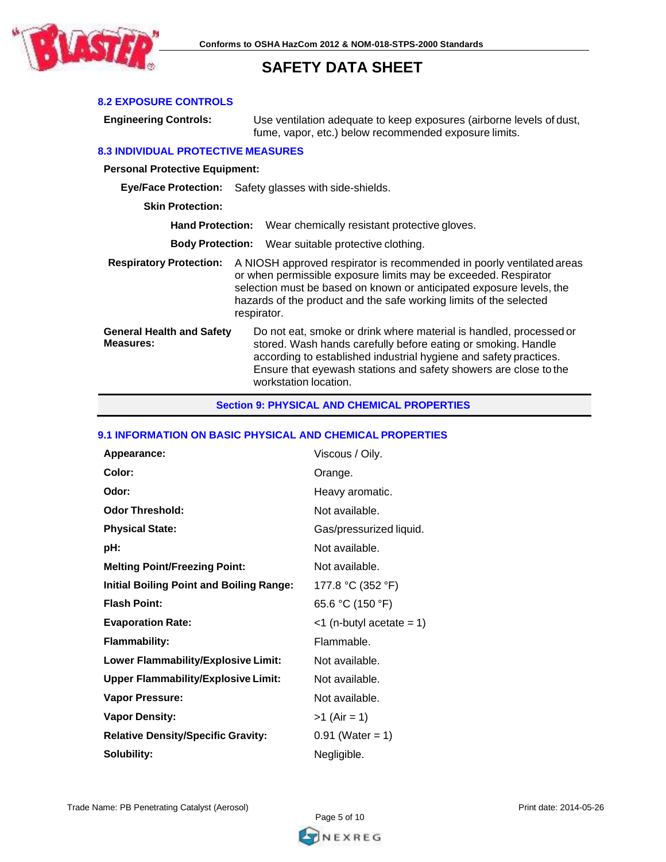

# **8.2 EXPOSURE CONTROLS**

**Engineering Controls:** Use ventilation adequate to keep exposures (airborne levels of dust, fume, vapor, etc.) below recommended exposure limits.

#### **8.3 INDIVIDUAL PROTECTIVE MEASURES**

**Personal Protective Equipment:**

**Eye/Face Protection:** Safety glasses with side-shields.

**Skin Protection:**

**Hand Protection:** Wear chemically resistant protective gloves.

**Body Protection:** Wear suitable protective clothing.

**Respiratory Protection:** A NIOSH approved respirator is recommended in poorly ventilated areas or when permissible exposure limits may be exceeded. Respirator selection must be based on known or anticipated exposure levels, the hazards of the product and the safe working limits of the selected respirator. **General Health and Safety**

**Measures:**

Do not eat, smoke or drink where material is handled, processed or stored. Wash hands carefully before eating or smoking. Handle according to established industrial hygiene and safety practices. Ensure that eyewash stations and safety showers are close to the workstation location.

#### **Section 9: PHYSICAL AND CHEMICAL PROPERTIES**

#### **9.1 INFORMATION ON BASIC PHYSICAL AND CHEMICAL PROPERTIES**

| Appearance:                                     | Viscous / Oily.             |
|-------------------------------------------------|-----------------------------|
| Color:                                          | Orange.                     |
| Odor:                                           | Heavy aromatic.             |
| <b>Odor Threshold:</b>                          | Not available.              |
| <b>Physical State:</b>                          | Gas/pressurized liquid.     |
| pH:                                             | Not available.              |
| <b>Melting Point/Freezing Point:</b>            | Not available.              |
| <b>Initial Boiling Point and Boiling Range:</b> | 177.8 °C (352 °F)           |
| <b>Flash Point:</b>                             | 65.6 °C (150 °F)            |
| <b>Evaporation Rate:</b>                        | $<$ 1 (n-butyl acetate = 1) |
| <b>Flammability:</b>                            | Flammable.                  |
| Lower Flammability/Explosive Limit:             | Not available.              |
| <b>Upper Flammability/Explosive Limit:</b>      | Not available.              |
| <b>Vapor Pressure:</b>                          | Not available.              |
| <b>Vapor Density:</b>                           | $>1$ (Air = 1)              |
| <b>Relative Density/Specific Gravity:</b>       | $0.91$ (Water = 1)          |
| Solubility:                                     | Negligible.                 |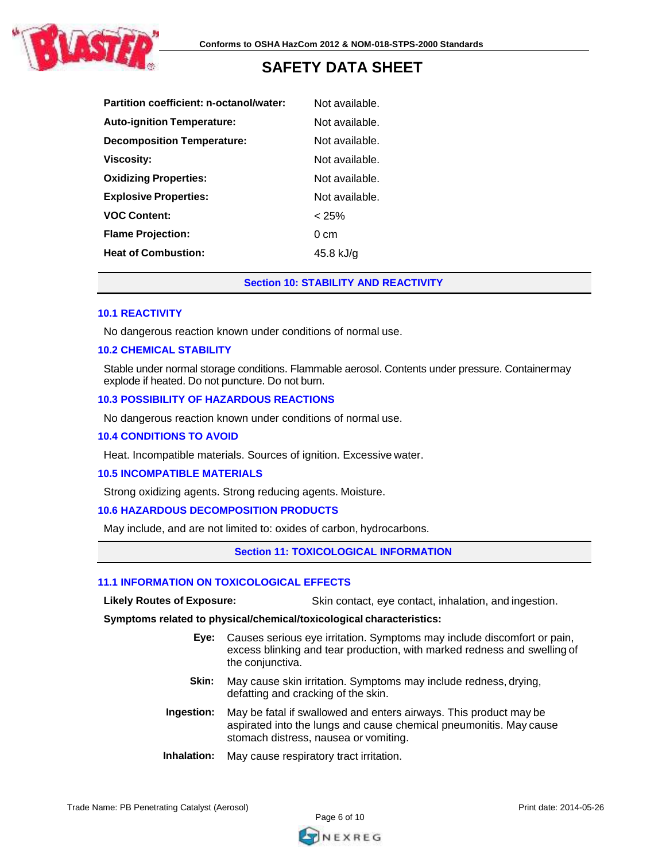

| Partition coefficient: n-octanol/water: | Not available. |
|-----------------------------------------|----------------|
| <b>Auto-ignition Temperature:</b>       | Not available. |
| <b>Decomposition Temperature:</b>       | Not available. |
| <b>Viscosity:</b>                       | Not available. |
| <b>Oxidizing Properties:</b>            | Not available. |
| <b>Explosive Properties:</b>            | Not available. |
| <b>VOC Content:</b>                     | < 25%          |
| <b>Flame Projection:</b>                | $0 \text{ cm}$ |
| <b>Heat of Combustion:</b>              | 45.8 kJ/g      |

# **Section 10: STABILITY AND REACTIVITY**

#### **10.1 REACTIVITY**

No dangerous reaction known under conditions of normal use.

#### **10.2 CHEMICAL STABILITY**

Stable under normal storage conditions. Flammable aerosol. Contents under pressure. Containermay explode if heated. Do not puncture. Do not burn.

#### **10.3 POSSIBILITY OF HAZARDOUS REACTIONS**

No dangerous reaction known under conditions of normal use.

#### **10.4 CONDITIONS TO AVOID**

Heat. Incompatible materials. Sources of ignition. Excessive water.

#### **10.5 INCOMPATIBLE MATERIALS**

Strong oxidizing agents. Strong reducing agents. Moisture.

# **10.6 HAZARDOUS DECOMPOSITION PRODUCTS**

May include, and are not limited to: oxides of carbon, hydrocarbons.

#### **Section 11: TOXICOLOGICAL INFORMATION**

#### **11.1 INFORMATION ON TOXICOLOGICAL EFFECTS**

**Likely Routes of Exposure:** Skin contact, eye contact, inhalation, and ingestion.

**Symptoms related to physical/chemical/toxicological characteristics:**

- **Eye:** Causes serious eye irritation. Symptoms may include discomfort or pain, excess blinking and tear production, with marked redness and swelling of the conjunctiva.
- **Skin:** May cause skin irritation. Symptoms may include redness, drying, defatting and cracking of the skin.
- **Ingestion:** May be fatal if swallowed and enters airways. This product may be aspirated into the lungs and cause chemical pneumonitis. May cause stomach distress, nausea or vomiting.
- **Inhalation:** May cause respiratory tract irritation.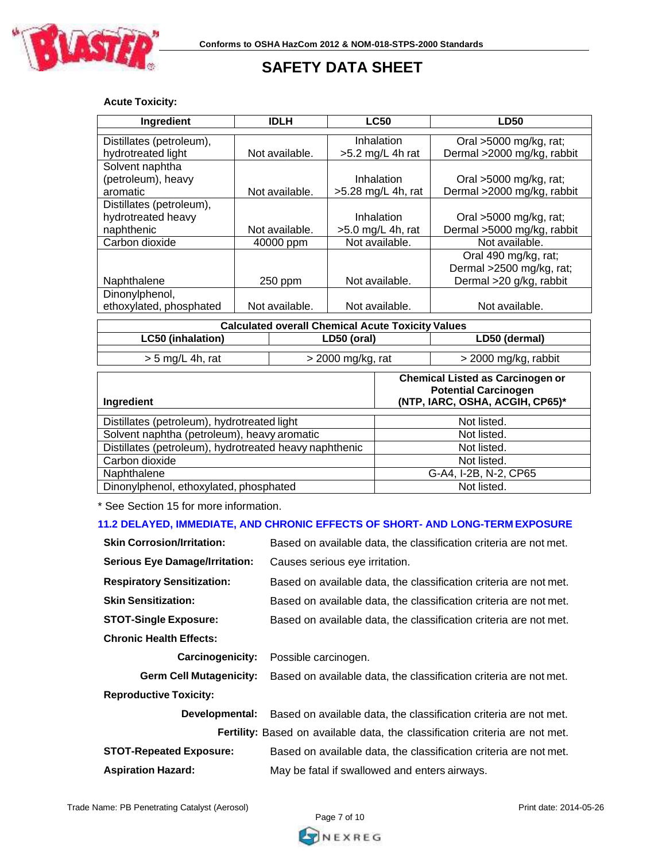

# **Acute Toxicity:**

| Ingredient                                               | <b>IDLH</b>    | <b>LC50</b>          | <b>LD50</b>                |  |
|----------------------------------------------------------|----------------|----------------------|----------------------------|--|
|                                                          |                |                      |                            |  |
| Distillates (petroleum),                                 |                | Inhalation           | Oral >5000 mg/kg, rat;     |  |
| hydrotreated light                                       | Not available. | $>5.2$ mg/L 4h rat   | Dermal >2000 mg/kg, rabbit |  |
| Solvent naphtha                                          |                |                      |                            |  |
| (petroleum), heavy                                       |                | Inhalation           | Oral >5000 mg/kg, rat;     |  |
| aromatic                                                 | Not available. | $>5.28$ mg/L 4h, rat | Dermal >2000 mg/kg, rabbit |  |
| Distillates (petroleum),                                 |                |                      |                            |  |
| hydrotreated heavy                                       |                | Inhalation           | Oral >5000 mg/kg, rat;     |  |
| naphthenic                                               | Not available. | $>5.0$ mg/L 4h, rat  | Dermal >5000 mg/kg, rabbit |  |
| Carbon dioxide                                           | 40000 ppm      | Not available.       | Not available.             |  |
| Oral 490 mg/kg, rat;                                     |                |                      |                            |  |
|                                                          |                |                      | Dermal >2500 mg/kg, rat;   |  |
| Naphthalene                                              | 250 ppm        | Not available.       | Dermal >20 g/kg, rabbit    |  |
| Dinonylphenol,                                           |                |                      |                            |  |
| ethoxylated, phosphated                                  | Not available. | Not available.       | Not available.             |  |
|                                                          |                |                      |                            |  |
| <b>Calculated overall Chemical Acute Toxicity Values</b> |                |                      |                            |  |

| WWIWWIWIW VTVIWII WIIVIIIIWMI / IVMIV   WAIVIII TWIMVU |                     |                                                                   |  |
|--------------------------------------------------------|---------------------|-------------------------------------------------------------------|--|
| LC50 (inhalation)                                      | LD50 (oral)         | LD50 (dermal)                                                     |  |
|                                                        |                     |                                                                   |  |
| $> 5$ mg/L 4h, rat                                     | $>$ 2000 mg/kg, rat | > 2000 mg/kg, rabbit                                              |  |
|                                                        |                     |                                                                   |  |
|                                                        |                     | <b>Chemical Listed as Carcinogen or</b><br>But with Board and and |  |

| Ingredient                                             | <b>Potential Carcinogen</b><br>(NTP, IARC, OSHA, ACGIH, CP65)* |
|--------------------------------------------------------|----------------------------------------------------------------|
| Distillates (petroleum), hydrotreated light            | Not listed.                                                    |
| Solvent naphtha (petroleum), heavy aromatic            | Not listed.                                                    |
| Distillates (petroleum), hydrotreated heavy naphthenic | Not listed.                                                    |
| Carbon dioxide                                         | Not listed.                                                    |
| Naphthalene                                            | G-A4, I-2B, N-2, CP65                                          |
| Dinonylphenol, ethoxylated, phosphated                 | Not listed.                                                    |

\* See Section 15 for more information.

## **11.2 DELAYED, IMMEDIATE, AND CHRONIC EFFECTS OF SHORT- AND LONG-TERM EXPOSURE**

| <b>Skin Corrosion/Irritation:</b>                                                   | Based on available data, the classification criteria are not met. |  |  |  |
|-------------------------------------------------------------------------------------|-------------------------------------------------------------------|--|--|--|
| <b>Serious Eye Damage/Irritation:</b>                                               | Causes serious eye irritation.                                    |  |  |  |
| <b>Respiratory Sensitization:</b>                                                   | Based on available data, the classification criteria are not met. |  |  |  |
| <b>Skin Sensitization:</b>                                                          | Based on available data, the classification criteria are not met. |  |  |  |
| <b>STOT-Single Exposure:</b>                                                        | Based on available data, the classification criteria are not met. |  |  |  |
| <b>Chronic Health Effects:</b>                                                      |                                                                   |  |  |  |
| <b>Carcinogenicity:</b>                                                             | Possible carcinogen.                                              |  |  |  |
| <b>Germ Cell Mutagenicity:</b>                                                      | Based on available data, the classification criteria are not met. |  |  |  |
| <b>Reproductive Toxicity:</b>                                                       |                                                                   |  |  |  |
| Developmental:                                                                      | Based on available data, the classification criteria are not met. |  |  |  |
| <b>Fertility:</b> Based on available data, the classification criteria are not met. |                                                                   |  |  |  |
| <b>STOT-Repeated Exposure:</b>                                                      | Based on available data, the classification criteria are not met. |  |  |  |

| <b>STOT-Repeated Exposure:</b> | Based on available data, the classification cri |
|--------------------------------|-------------------------------------------------|
| <b>Aspiration Hazard:</b>      | May be fatal if swallowed and enters airways.   |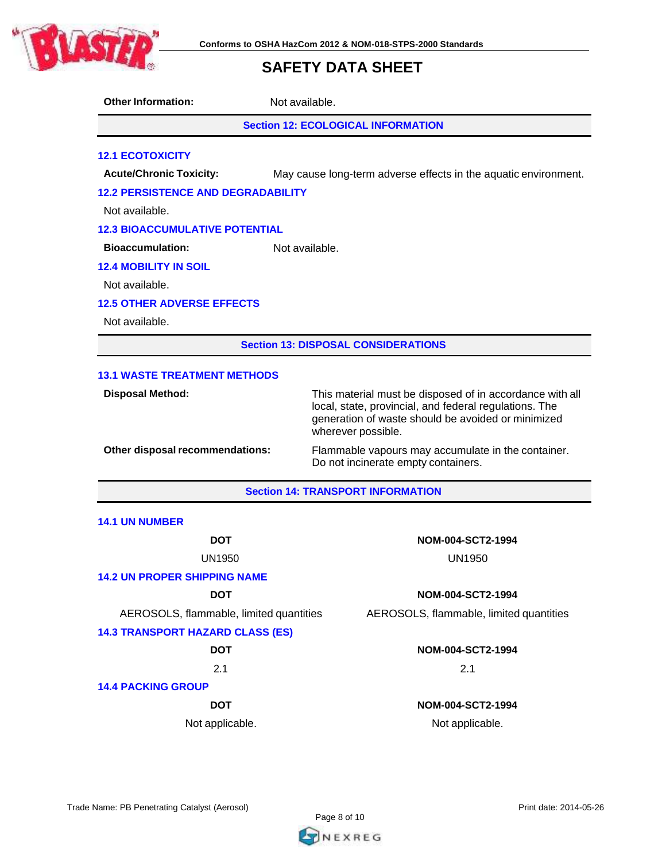

**Other Information:** Not available.

**Section 12: ECOLOGICAL INFORMATION**

# **12.1 ECOTOXICITY**

**Acute/Chronic Toxicity:** May cause long-term adverse effects in the aquatic environment.

### **12.2 PERSISTENCE AND DEGRADABILITY**

Not available.

#### **12.3 BIOACCUMULATIVE POTENTIAL**

**Bioaccumulation:** Not available.

### **12.4 MOBILITY IN SOIL**

Not available.

### **12.5 OTHER ADVERSE EFFECTS**

Not available.

**Section 13: DISPOSAL CONSIDERATIONS**

#### **13.1 WASTE TREATMENT METHODS**

**Disposal Method:** This material must be disposed of in accordance with all local, state, provincial, and federal regulations. The generation of waste should be avoided or minimized wherever possible.

**Other disposal recommendations:** Flammable vapours may accumulate in the container. Do not incinerate empty containers.

## **Section 14: TRANSPORT INFORMATION**

#### **14.1 UN NUMBER**

UN1950 UN1950

## **14.2 UN PROPER SHIPPING NAME**

AEROSOLS, flammable, limited quantities AEROSOLS, flammable, limited quantities

#### **14.3 TRANSPORT HAZARD CLASS (ES)**

 $2.1$  2.1

#### **14.4 PACKING GROUP**

# **DOT NOM-004-SCT2-1994**

#### **DOT NOM-004-SCT2-1994**

# **DOT NOM-004-SCT2-1994**

# **DOT NOM-004-SCT2-1994**

Not applicable. Not applicable.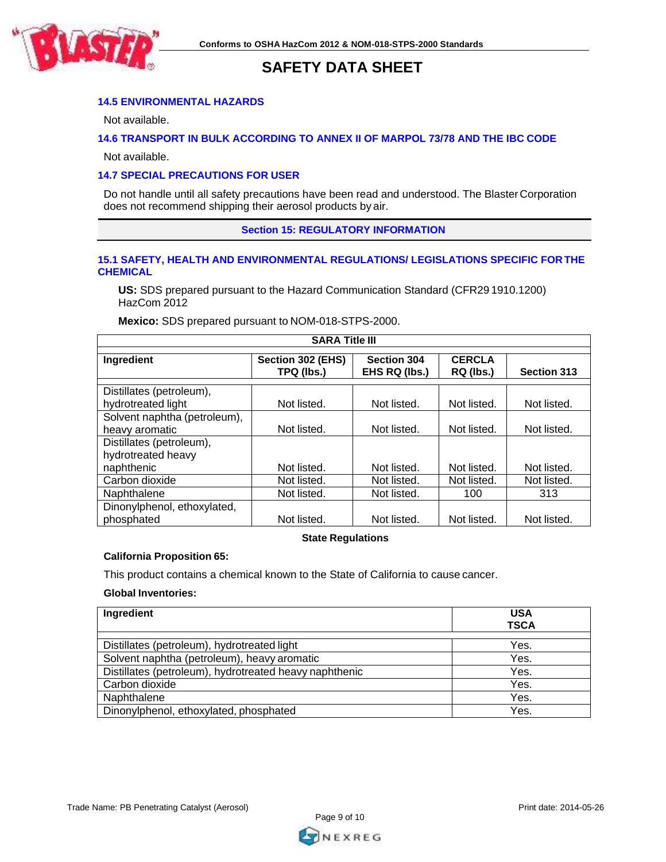

# **14.5 ENVIRONMENTAL HAZARDS**

Not available.

# **14.6 TRANSPORT IN BULK ACCORDING TO ANNEX II OF MARPOL 73/78 AND THE IBC CODE**

Not available.

# **14.7 SPECIAL PRECAUTIONS FOR USER**

Do not handle until all safety precautions have been read and understood. The BlasterCorporation does not recommend shipping their aerosol products by air.

**Section 15: REGULATORY INFORMATION**

## **15.1 SAFETY, HEALTH AND ENVIRONMENTAL REGULATIONS/ LEGISLATIONS SPECIFIC FOR THE CHEMICAL**

**US:** SDS prepared pursuant to the Hazard Communication Standard (CFR29 1910.1200) HazCom 2012

**Mexico:** SDS prepared pursuant to NOM-018-STPS-2000.

| <b>SARA Title III</b>                          |                                 |                                     |                            |             |
|------------------------------------------------|---------------------------------|-------------------------------------|----------------------------|-------------|
| Ingredient                                     | Section 302 (EHS)<br>TPQ (lbs.) | <b>Section 304</b><br>EHS RQ (lbs.) | <b>CERCLA</b><br>RQ (lbs.) | Section 313 |
| Distillates (petroleum),<br>hydrotreated light | Not listed.                     | Not listed.                         | Not listed.                | Not listed. |
| Solvent naphtha (petroleum),<br>heavy aromatic | Not listed.                     | Not listed.                         | Not listed.                | Not listed. |
| Distillates (petroleum),<br>hydrotreated heavy |                                 |                                     |                            |             |
| naphthenic                                     | Not listed.                     | Not listed.                         | Not listed.                | Not listed. |
| Carbon dioxide                                 | Not listed.                     | Not listed.                         | Not listed.                | Not listed. |
| Naphthalene                                    | Not listed.                     | Not listed.                         | 100                        | 313         |
| Dinonylphenol, ethoxylated,<br>phosphated      | Not listed.                     | Not listed.                         | Not listed.                | Not listed. |

# **State Regulations**

#### **California Proposition 65:**

This product contains a chemical known to the State of California to cause cancer.

## **Global Inventories:**

| Ingredient                                             | <b>USA</b><br><b>TSCA</b> |
|--------------------------------------------------------|---------------------------|
| Distillates (petroleum), hydrotreated light            | Yes.                      |
| Solvent naphtha (petroleum), heavy aromatic            | Yes.                      |
| Distillates (petroleum), hydrotreated heavy naphthenic | Yes.                      |
| Carbon dioxide                                         | Yes.                      |
| Naphthalene                                            | Yes.                      |
| Dinonylphenol, ethoxylated, phosphated                 | Yes.                      |